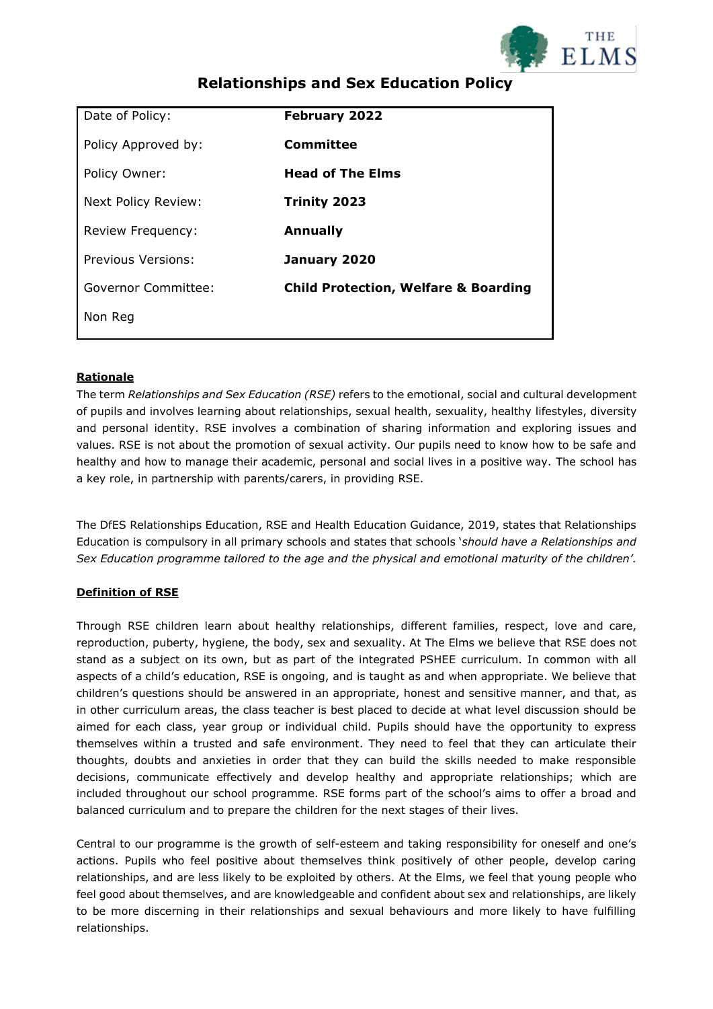

| Date of Policy:     | <b>February 2022</b>                            |
|---------------------|-------------------------------------------------|
| Policy Approved by: | Committee                                       |
| Policy Owner:       | <b>Head of The Elms</b>                         |
| Next Policy Review: | Trinity 2023                                    |
| Review Frequency:   | <b>Annually</b>                                 |
| Previous Versions:  | January 2020                                    |
| Governor Committee: | <b>Child Protection, Welfare &amp; Boarding</b> |
| Non Reg             |                                                 |
|                     |                                                 |

## **Relationships and Sex Education Policy**

### **Rationale**

The term *Relationships and Sex Education (RSE)* refers to the emotional, social and cultural development of pupils and involves learning about relationships, sexual health, sexuality, healthy lifestyles, diversity and personal identity. RSE involves a combination of sharing information and exploring issues and values. RSE is not about the promotion of sexual activity. Our pupils need to know how to be safe and healthy and how to manage their academic, personal and social lives in a positive way. The school has a key role, in partnership with parents/carers, in providing RSE.

The DfES Relationships Education, RSE and Health Education Guidance, 2019, states that Relationships Education is compulsory in all primary schools and states that schools '*should have a Relationships and Sex Education programme tailored to the age and the physical and emotional maturity of the children'.*

### **Definition of RSE**

Through RSE children learn about healthy relationships, different families, respect, love and care, reproduction, puberty, hygiene, the body, sex and sexuality. At The Elms we believe that RSE does not stand as a subject on its own, but as part of the integrated PSHEE curriculum. In common with all aspects of a child's education, RSE is ongoing, and is taught as and when appropriate. We believe that children's questions should be answered in an appropriate, honest and sensitive manner, and that, as in other curriculum areas, the class teacher is best placed to decide at what level discussion should be aimed for each class, year group or individual child. Pupils should have the opportunity to express themselves within a trusted and safe environment. They need to feel that they can articulate their thoughts, doubts and anxieties in order that they can build the skills needed to make responsible decisions, communicate effectively and develop healthy and appropriate relationships; which are included throughout our school programme. RSE forms part of the school's aims to offer a broad and balanced curriculum and to prepare the children for the next stages of their lives.

Central to our programme is the growth of self-esteem and taking responsibility for oneself and one's actions. Pupils who feel positive about themselves think positively of other people, develop caring relationships, and are less likely to be exploited by others. At the Elms, we feel that young people who feel good about themselves, and are knowledgeable and confident about sex and relationships, are likely to be more discerning in their relationships and sexual behaviours and more likely to have fulfilling relationships.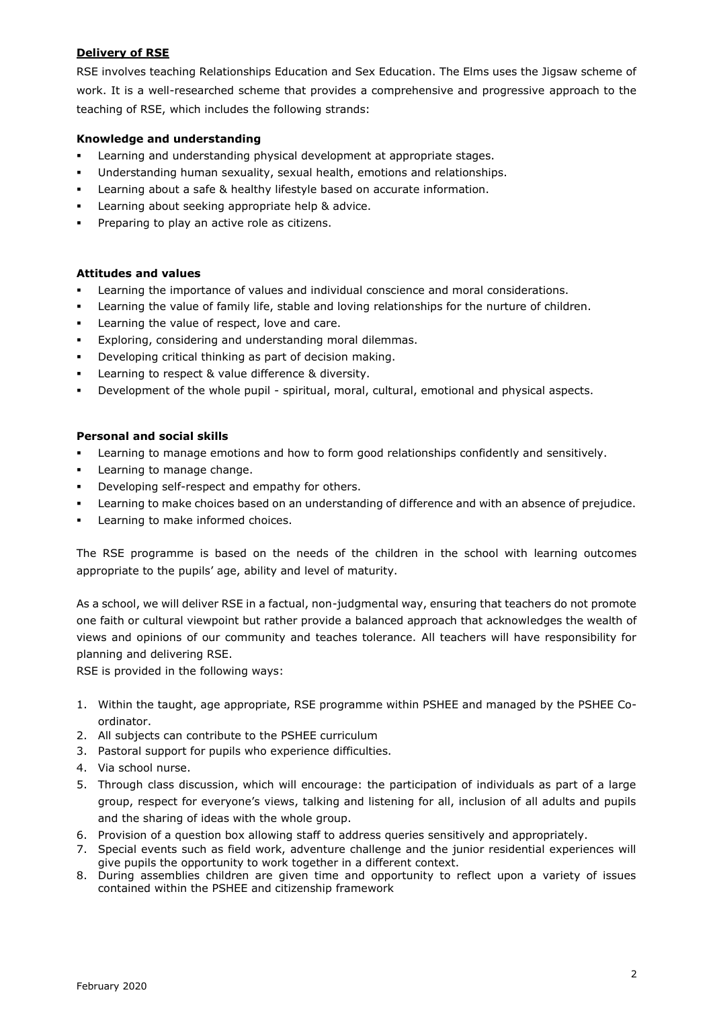### **Delivery of RSE**

RSE involves teaching Relationships Education and Sex Education. The Elms uses the Jigsaw scheme of work. It is a well-researched scheme that provides a comprehensive and progressive approach to the teaching of RSE, which includes the following strands:

### **Knowledge and understanding**

- Learning and understanding physical development at appropriate stages.
- Understanding human sexuality, sexual health, emotions and relationships.
- Learning about a safe & healthy lifestyle based on accurate information.
- Learning about seeking appropriate help & advice.
- Preparing to play an active role as citizens.

### **Attitudes and values**

- Learning the importance of values and individual conscience and moral considerations.
- Learning the value of family life, stable and loving relationships for the nurture of children.
- Learning the value of respect, love and care.
- Exploring, considering and understanding moral dilemmas.
- Developing critical thinking as part of decision making.
- Learning to respect & value difference & diversity.
- Development of the whole pupil spiritual, moral, cultural, emotional and physical aspects.

### **Personal and social skills**

- **•** Learning to manage emotions and how to form good relationships confidently and sensitively.
- Learning to manage change.
- Developing self-respect and empathy for others.
- Learning to make choices based on an understanding of difference and with an absence of prejudice.
- Learning to make informed choices.

The RSE programme is based on the needs of the children in the school with learning outcomes appropriate to the pupils' age, ability and level of maturity.

As a school, we will deliver RSE in a factual, non-judgmental way, ensuring that teachers do not promote one faith or cultural viewpoint but rather provide a balanced approach that acknowledges the wealth of views and opinions of our community and teaches tolerance. All teachers will have responsibility for planning and delivering RSE.

RSE is provided in the following ways:

- 1. Within the taught, age appropriate, RSE programme within PSHEE and managed by the PSHEE Coordinator.
- 2. All subjects can contribute to the PSHEE curriculum
- 3. Pastoral support for pupils who experience difficulties.
- 4. Via school nurse.
- 5. Through class discussion, which will encourage: the participation of individuals as part of a large group, respect for everyone's views, talking and listening for all, inclusion of all adults and pupils and the sharing of ideas with the whole group.
- 6. Provision of a question box allowing staff to address queries sensitively and appropriately.
- 7. Special events such as field work, adventure challenge and the junior residential experiences will give pupils the opportunity to work together in a different context.
- 8. During assemblies children are given time and opportunity to reflect upon a variety of issues contained within the PSHEE and citizenship framework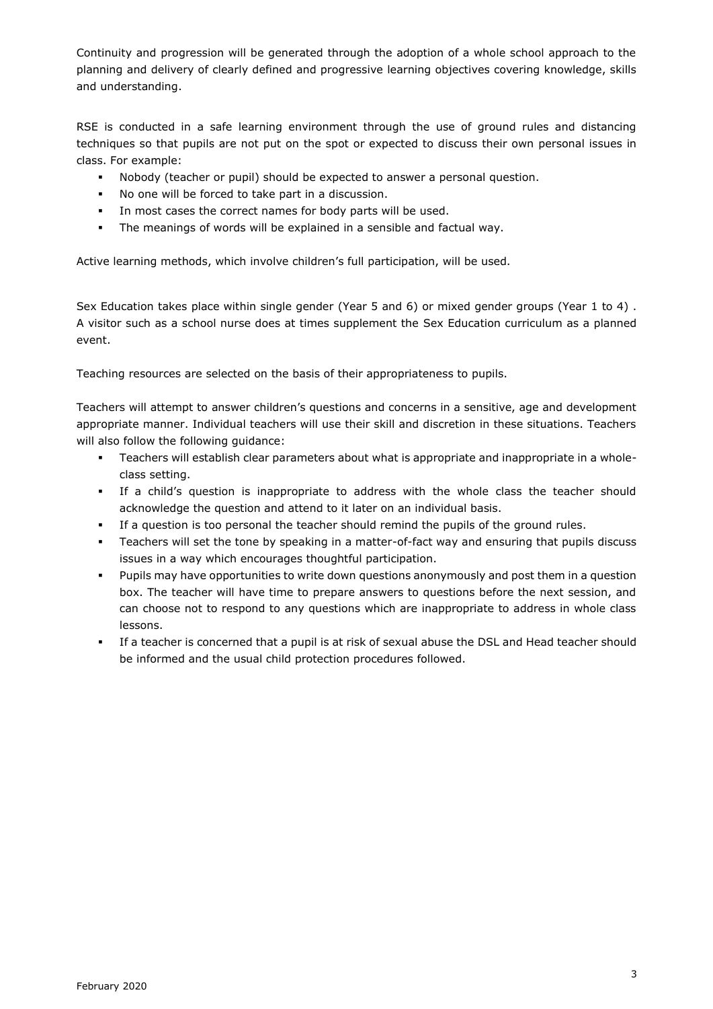Continuity and progression will be generated through the adoption of a whole school approach to the planning and delivery of clearly defined and progressive learning objectives covering knowledge, skills and understanding.

RSE is conducted in a safe learning environment through the use of ground rules and distancing techniques so that pupils are not put on the spot or expected to discuss their own personal issues in class. For example:

- Nobody (teacher or pupil) should be expected to answer a personal question.
- No one will be forced to take part in a discussion.
- In most cases the correct names for body parts will be used.
- The meanings of words will be explained in a sensible and factual way.

Active learning methods, which involve children's full participation, will be used.

Sex Education takes place within single gender (Year 5 and 6) or mixed gender groups (Year 1 to 4) . A visitor such as a school nurse does at times supplement the Sex Education curriculum as a planned event.

Teaching resources are selected on the basis of their appropriateness to pupils.

Teachers will attempt to answer children's questions and concerns in a sensitive, age and development appropriate manner. Individual teachers will use their skill and discretion in these situations. Teachers will also follow the following guidance:

- Teachers will establish clear parameters about what is appropriate and inappropriate in a wholeclass setting.
- If a child's question is inappropriate to address with the whole class the teacher should acknowledge the question and attend to it later on an individual basis.
- If a question is too personal the teacher should remind the pupils of the ground rules.
- Teachers will set the tone by speaking in a matter-of-fact way and ensuring that pupils discuss issues in a way which encourages thoughtful participation.
- Pupils may have opportunities to write down questions anonymously and post them in a question box. The teacher will have time to prepare answers to questions before the next session, and can choose not to respond to any questions which are inappropriate to address in whole class lessons.
- If a teacher is concerned that a pupil is at risk of sexual abuse the DSL and Head teacher should be informed and the usual child protection procedures followed.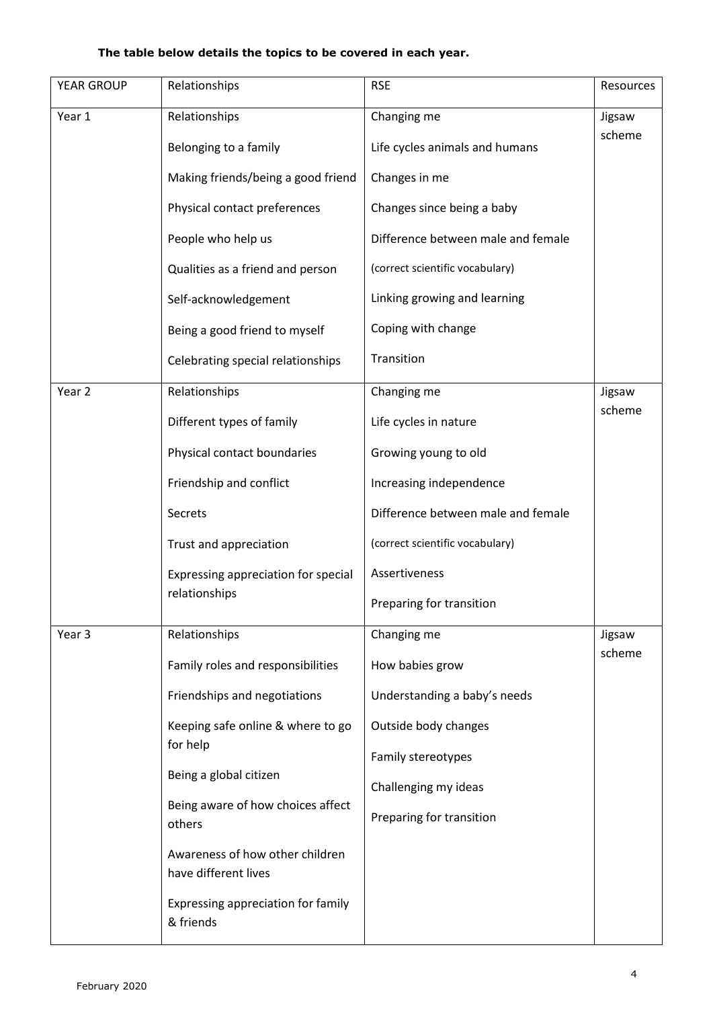### **The table below details the topics to be covered in each year.**

| YEAR GROUP        | Relationships                                           | <b>RSE</b>                         | Resources |
|-------------------|---------------------------------------------------------|------------------------------------|-----------|
| Year 1            | Relationships                                           | Changing me                        | Jigsaw    |
|                   | Belonging to a family                                   | Life cycles animals and humans     | scheme    |
|                   | Making friends/being a good friend                      | Changes in me                      |           |
|                   | Physical contact preferences                            | Changes since being a baby         |           |
|                   | People who help us                                      | Difference between male and female |           |
|                   | Qualities as a friend and person                        | (correct scientific vocabulary)    |           |
|                   | Self-acknowledgement                                    | Linking growing and learning       |           |
|                   | Being a good friend to myself                           | Coping with change                 |           |
|                   | Celebrating special relationships                       | Transition                         |           |
| Year <sub>2</sub> | Relationships                                           | Changing me                        | Jigsaw    |
|                   | Different types of family                               | Life cycles in nature              | scheme    |
|                   | Physical contact boundaries                             | Growing young to old               |           |
|                   | Friendship and conflict                                 | Increasing independence            |           |
|                   | Secrets                                                 | Difference between male and female |           |
|                   | Trust and appreciation                                  | (correct scientific vocabulary)    |           |
|                   | Expressing appreciation for special                     | Assertiveness                      |           |
|                   | relationships                                           | Preparing for transition           |           |
| Year 3            | Relationships                                           | Changing me                        | Jigsaw    |
|                   | Family roles and responsibilities                       | How babies grow                    | scheme    |
|                   | Friendships and negotiations                            | Understanding a baby's needs       |           |
|                   | Keeping safe online & where to go                       | Outside body changes               |           |
|                   | for help                                                | Family stereotypes                 |           |
|                   | Being a global citizen                                  | Challenging my ideas               |           |
|                   | Being aware of how choices affect<br>others             | Preparing for transition           |           |
|                   | Awareness of how other children<br>have different lives |                                    |           |
|                   | Expressing appreciation for family<br>& friends         |                                    |           |
|                   |                                                         |                                    |           |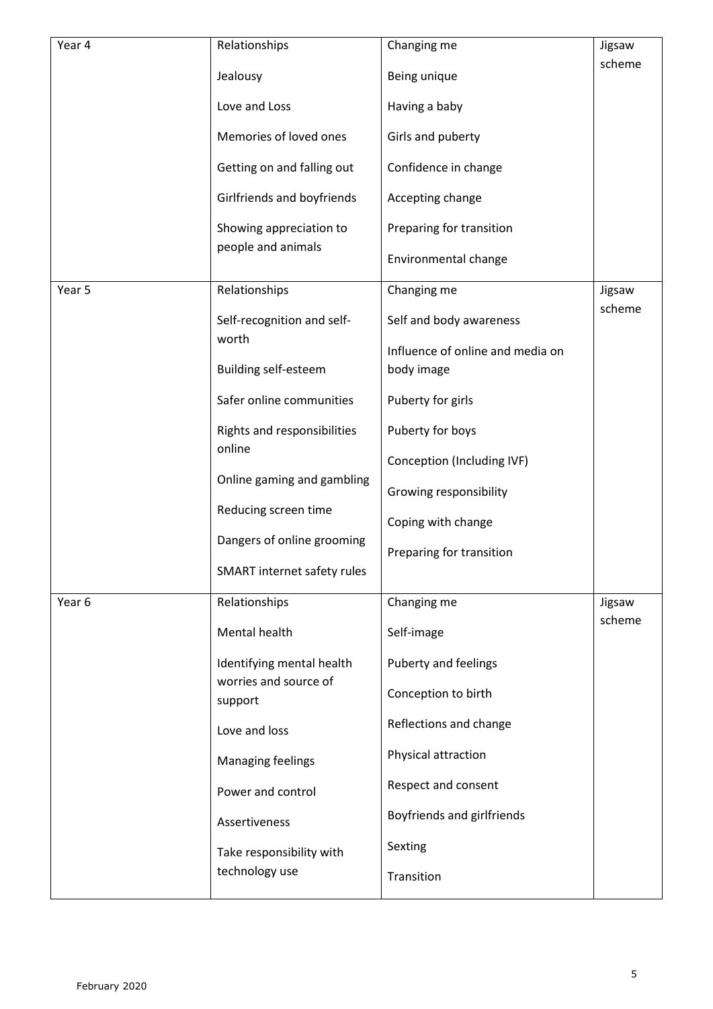| Year 4                                                                                                                                                                                                                              | Relationships                                 | Changing me                                    | Jigsaw |
|-------------------------------------------------------------------------------------------------------------------------------------------------------------------------------------------------------------------------------------|-----------------------------------------------|------------------------------------------------|--------|
|                                                                                                                                                                                                                                     | Jealousy                                      | Being unique                                   | scheme |
|                                                                                                                                                                                                                                     | Love and Loss                                 | Having a baby                                  |        |
|                                                                                                                                                                                                                                     | Memories of loved ones                        | Girls and puberty                              |        |
|                                                                                                                                                                                                                                     | Getting on and falling out                    | Confidence in change                           |        |
|                                                                                                                                                                                                                                     | Girlfriends and boyfriends                    | Accepting change                               |        |
|                                                                                                                                                                                                                                     | Showing appreciation to<br>people and animals | Preparing for transition                       |        |
|                                                                                                                                                                                                                                     |                                               | Environmental change                           |        |
| Year 5                                                                                                                                                                                                                              | Relationships                                 | Changing me                                    | Jigsaw |
|                                                                                                                                                                                                                                     | Self-recognition and self-                    | Self and body awareness                        | scheme |
|                                                                                                                                                                                                                                     | worth<br><b>Building self-esteem</b>          | Influence of online and media on<br>body image |        |
|                                                                                                                                                                                                                                     | Safer online communities                      | Puberty for girls                              |        |
|                                                                                                                                                                                                                                     | Rights and responsibilities                   | Puberty for boys                               |        |
|                                                                                                                                                                                                                                     | online                                        | Conception (Including IVF)                     |        |
|                                                                                                                                                                                                                                     | Online gaming and gambling                    | Growing responsibility                         |        |
|                                                                                                                                                                                                                                     | Reducing screen time                          | Coping with change                             |        |
|                                                                                                                                                                                                                                     | Dangers of online grooming                    | Preparing for transition                       |        |
|                                                                                                                                                                                                                                     | SMART internet safety rules                   |                                                |        |
| Relationships<br>Year 6<br>Mental health<br>Identifying mental health<br>worries and source of<br>support<br>Love and loss<br>Managing feelings<br>Power and control<br>Assertiveness<br>Take responsibility with<br>technology use |                                               | Changing me                                    | Jigsaw |
|                                                                                                                                                                                                                                     |                                               | Self-image                                     | scheme |
|                                                                                                                                                                                                                                     |                                               | Puberty and feelings                           |        |
|                                                                                                                                                                                                                                     |                                               | Conception to birth                            |        |
|                                                                                                                                                                                                                                     |                                               | Reflections and change                         |        |
|                                                                                                                                                                                                                                     |                                               | Physical attraction                            |        |
|                                                                                                                                                                                                                                     |                                               | Respect and consent                            |        |
|                                                                                                                                                                                                                                     |                                               | Boyfriends and girlfriends                     |        |
|                                                                                                                                                                                                                                     |                                               | Sexting                                        |        |
|                                                                                                                                                                                                                                     |                                               | Transition                                     |        |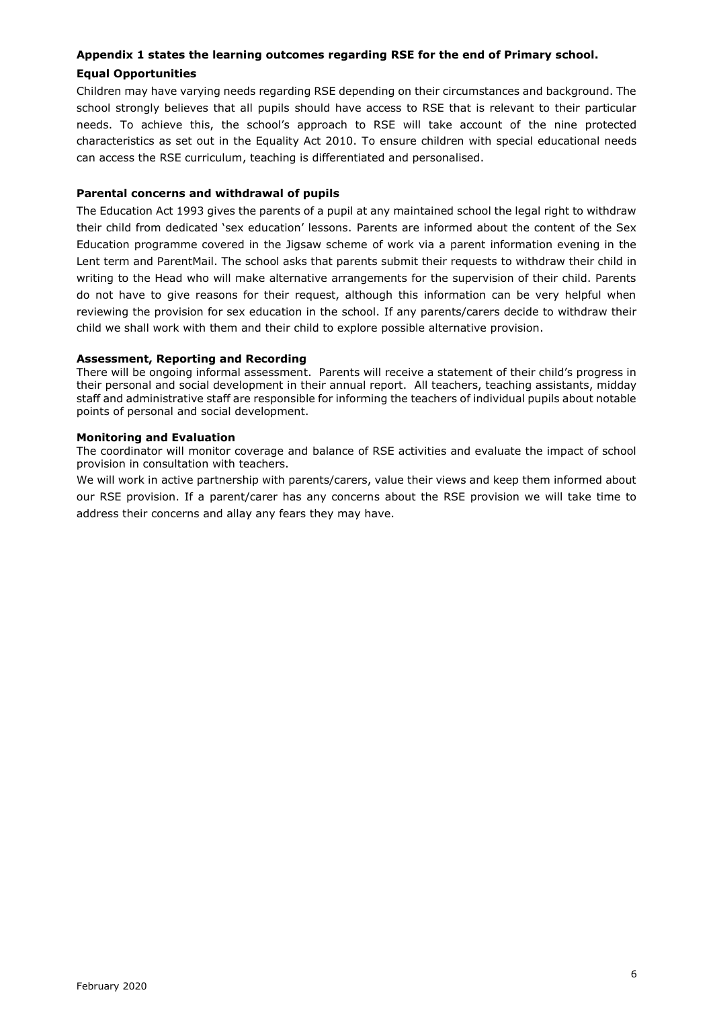### **Appendix 1 states the learning outcomes regarding RSE for the end of Primary school.**

### **Equal Opportunities**

Children may have varying needs regarding RSE depending on their circumstances and background. The school strongly believes that all pupils should have access to RSE that is relevant to their particular needs. To achieve this, the school's approach to RSE will take account of the nine protected characteristics as set out in the Equality Act 2010. To ensure children with special educational needs can access the RSE curriculum, teaching is differentiated and personalised.

### **Parental concerns and withdrawal of pupils**

The Education Act 1993 gives the parents of a pupil at any maintained school the legal right to withdraw their child from dedicated 'sex education' lessons. Parents are informed about the content of the Sex Education programme covered in the Jigsaw scheme of work via a parent information evening in the Lent term and ParentMail. The school asks that parents submit their requests to withdraw their child in writing to the Head who will make alternative arrangements for the supervision of their child. Parents do not have to give reasons for their request, although this information can be very helpful when reviewing the provision for sex education in the school. If any parents/carers decide to withdraw their child we shall work with them and their child to explore possible alternative provision.

### **Assessment, Reporting and Recording**

There will be ongoing informal assessment. Parents will receive a statement of their child's progress in their personal and social development in their annual report. All teachers, teaching assistants, midday staff and administrative staff are responsible for informing the teachers of individual pupils about notable points of personal and social development.

### **Monitoring and Evaluation**

The coordinator will monitor coverage and balance of RSE activities and evaluate the impact of school provision in consultation with teachers.

We will work in active partnership with parents/carers, value their views and keep them informed about our RSE provision. If a parent/carer has any concerns about the RSE provision we will take time to address their concerns and allay any fears they may have.